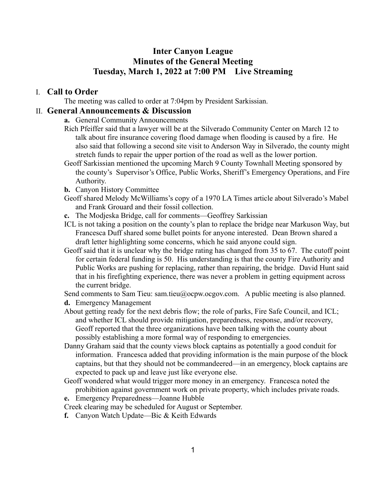# **Inter Canyon League Minutes of the General Meeting Tuesday, March 1, 2022 at 7:00 PM Live Streaming**

### I. **Call to Order**

The meeting was called to order at 7:04pm by President Sarkissian.

#### II. **General Announcements & Discussion**

- **a.** General Community Announcements
- Rich Pfeiffer said that a lawyer will be at the Silverado Community Center on March 12 to talk about fire insurance covering flood damage when flooding is caused by a fire. He also said that following a second site visit to Anderson Way in Silverado, the county might stretch funds to repair the upper portion of the road as well as the lower portion.
- Geoff Sarkissian mentioned the upcoming March 9 County Townhall Meeting sponsored by the county's Supervisor's Office, Public Works, Sheriff's Emergency Operations, and Fire Authority.
- **b.** Canyon History Committee
- Geoff shared Melody McWilliams's copy of a 1970 LA Times article about Silverado's Mabel and Frank Grouard and their fossil collection.
- **c.** The Modjeska Bridge, call for comments—Geoffrey Sarkissian
- ICL is not taking a position on the county's plan to replace the bridge near Markuson Way, but Francesca Duff shared some bullet points for anyone interested. Dean Brown shared a draft letter highlighting some concerns, which he said anyone could sign.
- Geoff said that it is unclear why the bridge rating has changed from 35 to 67. The cutoff point for certain federal funding is 50. His understanding is that the county Fire Authority and Public Works are pushing for replacing, rather than repairing, the bridge. David Hunt said that in his firefighting experience, there was never a problem in getting equipment across the current bridge.

Send comments to Sam Tieu: sam.tieu@ocpw.ocgov.com. A public meeting is also planned.

- **d.** Emergency Management
- About getting ready for the next debris flow; the role of parks, Fire Safe Council, and ICL; and whether ICL should provide mitigation, preparedness, response, and/or recovery, Geoff reported that the three organizations have been talking with the county about possibly establishing a more formal way of responding to emergencies.
- Danny Graham said that the county views block captains as potentially a good conduit for information. Francesca added that providing information is the main purpose of the block captains, but that they should not be commandeered—in an emergency, block captains are expected to pack up and leave just like everyone else.
- Geoff wondered what would trigger more money in an emergency. Francesca noted the prohibition against government work on private property, which includes private roads.
- **e.** Emergency Preparedness—Joanne Hubble
- Creek clearing may be scheduled for August or September.
- **f.** Canyon Watch Update—Bic & Keith Edwards